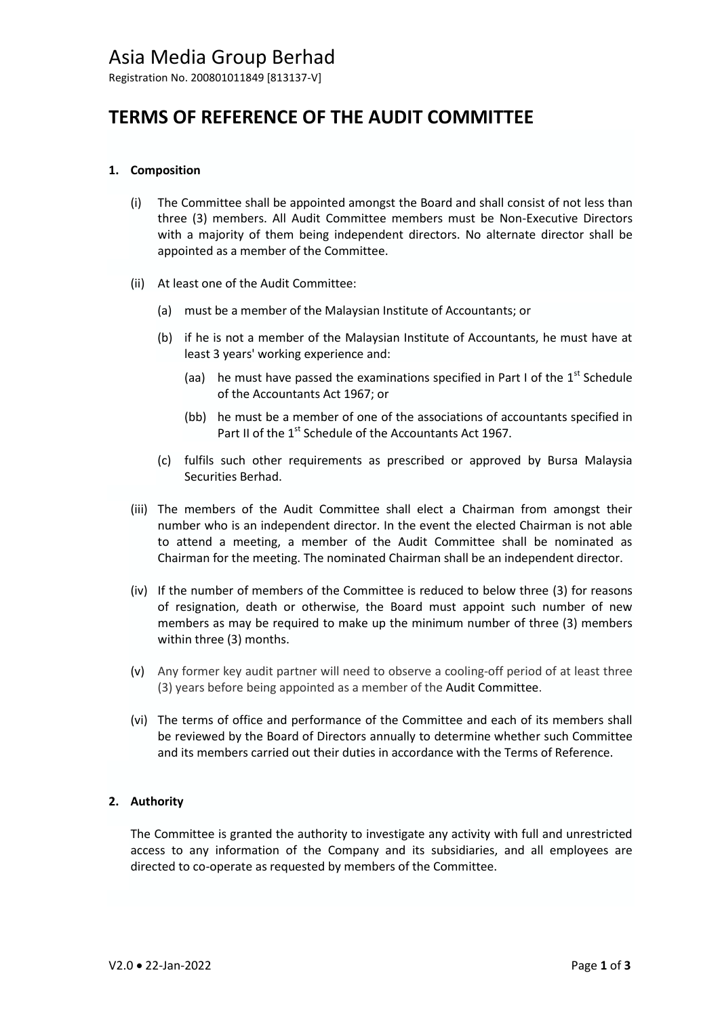Registration No. 200801011849 [813137-V]

# **TERMS OF REFERENCE OF THE AUDIT COMMITTEE**

## **1. Composition**

- (i) The Committee shall be appointed amongst the Board and shall consist of not less than three (3) members. All Audit Committee members must be Non-Executive Directors with a majority of them being independent directors. No alternate director shall be appointed as a member of the Committee.
- (ii) At least one of the Audit Committee:
	- (a) must be a member of the Malaysian Institute of Accountants; or
	- (b) if he is not a member of the Malaysian Institute of Accountants, he must have at least 3 years' working experience and:
		- (aa) he must have passed the examinations specified in Part I of the  $1<sup>st</sup>$  Schedule of the Accountants Act 1967; or
		- (bb) he must be a member of one of the associations of accountants specified in Part II of the 1<sup>st</sup> Schedule of the Accountants Act 1967.
	- (c) fulfils such other requirements as prescribed or approved by Bursa Malaysia Securities Berhad.
- (iii) The members of the Audit Committee shall elect a Chairman from amongst their number who is an independent director. In the event the elected Chairman is not able to attend a meeting, a member of the Audit Committee shall be nominated as Chairman for the meeting. The nominated Chairman shall be an independent director.
- (iv) If the number of members of the Committee is reduced to below three (3) for reasons of resignation, death or otherwise, the Board must appoint such number of new members as may be required to make up the minimum number of three (3) members within three (3) months.
- (v) Any former key audit partner will need to observe a cooling-off period of at least three (3) years before being appointed as a member of the Audit Committee.
- (vi) The terms of office and performance of the Committee and each of its members shall be reviewed by the Board of Directors annually to determine whether such Committee and its members carried out their duties in accordance with the Terms of Reference.

### **2. Authority**

The Committee is granted the authority to investigate any activity with full and unrestricted access to any information of the Company and its subsidiaries, and all employees are directed to co-operate as requested by members of the Committee.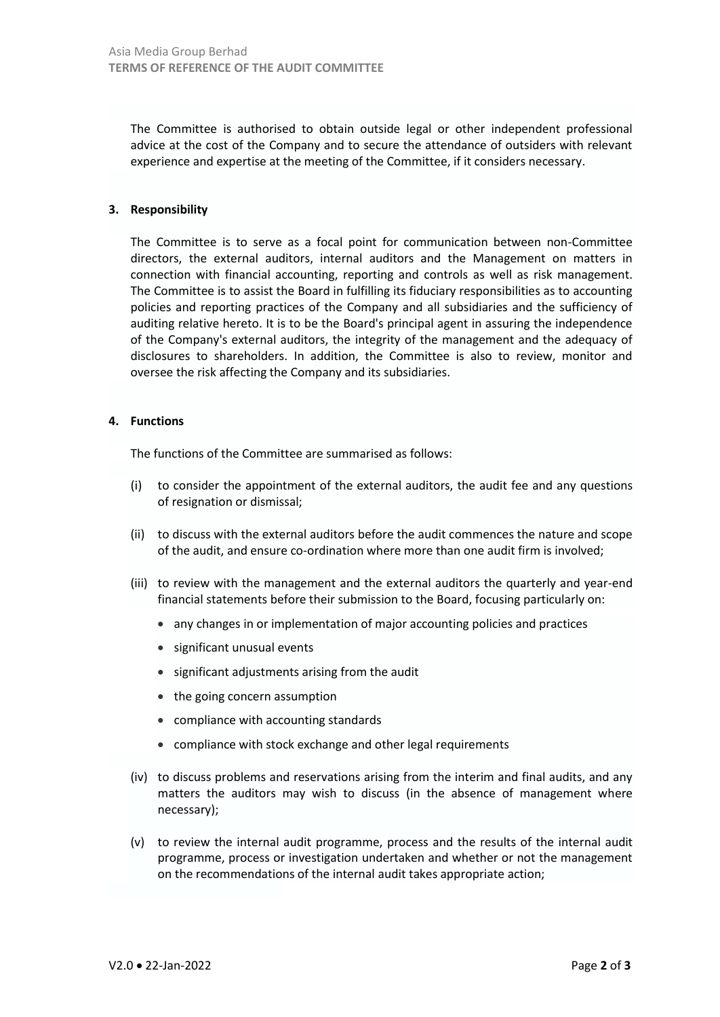The Committee is authorised to obtain outside legal or other independent professional advice at the cost of the Company and to secure the attendance of outsiders with relevant experience and expertise at the meeting of the Committee, if it considers necessary.

### **3. Responsibility**

The Committee is to serve as a focal point for communication between non-Committee directors, the external auditors, internal auditors and the Management on matters in connection with financial accounting, reporting and controls as well as risk management. The Committee is to assist the Board in fulfilling its fiduciary responsibilities as to accounting policies and reporting practices of the Company and all subsidiaries and the sufficiency of auditing relative hereto. It is to be the Board's principal agent in assuring the independence of the Company's external auditors, the integrity of the management and the adequacy of disclosures to shareholders. In addition, the Committee is also to review, monitor and oversee the risk affecting the Company and its subsidiaries.

#### **4. Functions**

The functions of the Committee are summarised as follows:

- (i) to consider the appointment of the external auditors, the audit fee and any questions of resignation or dismissal;
- (ii) to discuss with the external auditors before the audit commences the nature and scope of the audit, and ensure co-ordination where more than one audit firm is involved;
- (iii) to review with the management and the external auditors the quarterly and year-end financial statements before their submission to the Board, focusing particularly on:
	- any changes in or implementation of major accounting policies and practices
	- significant unusual events
	- significant adjustments arising from the audit
	- the going concern assumption
	- compliance with accounting standards
	- compliance with stock exchange and other legal requirements
- (iv) to discuss problems and reservations arising from the interim and final audits, and any matters the auditors may wish to discuss (in the absence of management where necessary);
- (v) to review the internal audit programme, process and the results of the internal audit programme, process or investigation undertaken and whether or not the management on the recommendations of the internal audit takes appropriate action;